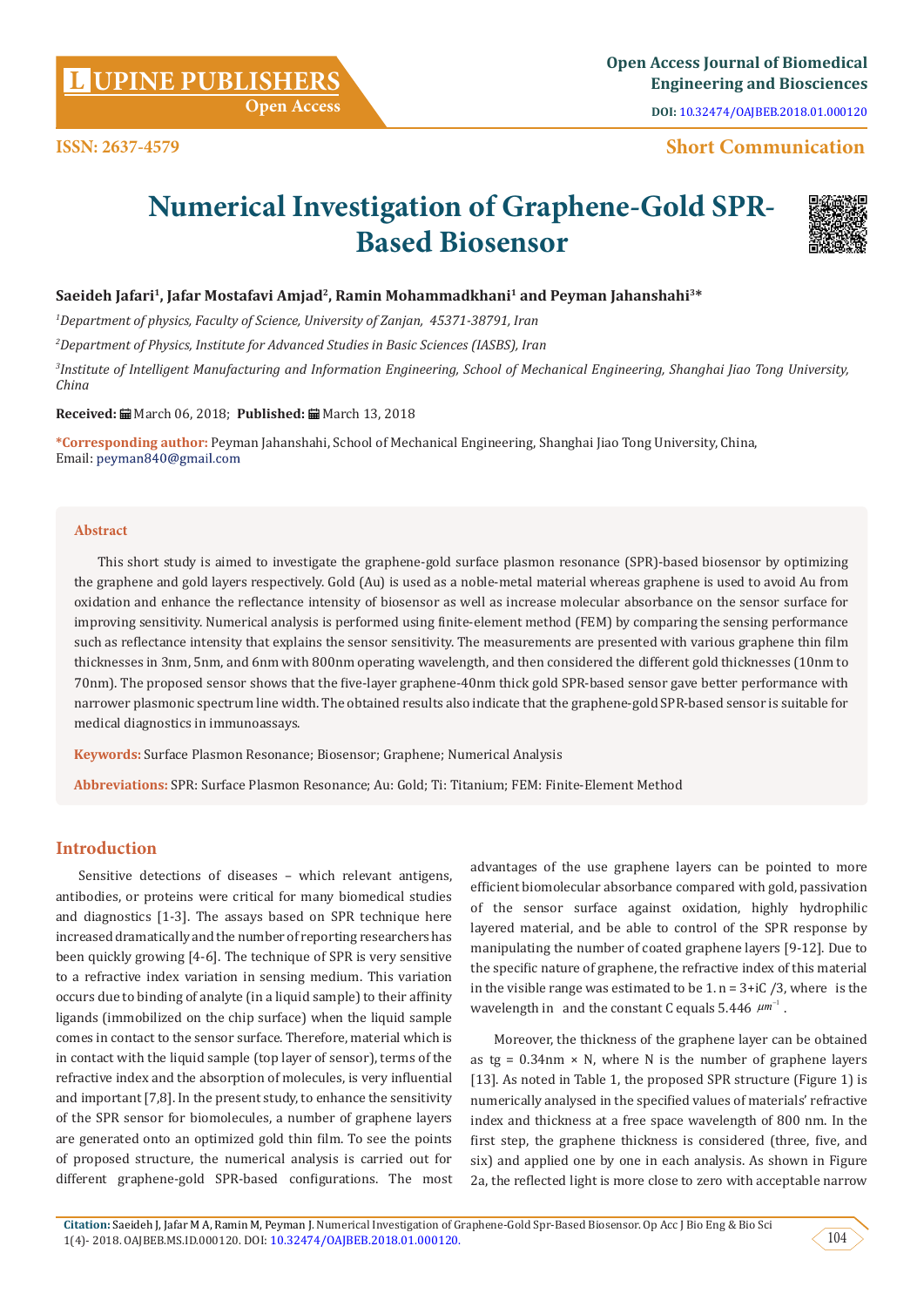## **Short Communication**

# **Numerical Investigation of Graphene-Gold SPR-Based Biosensor**



#### Saeideh Jafari<sup>1</sup>, Jafar Mostafavi Amjad<sup>2</sup>, Ramin Mohammadkhani<sup>1</sup> and Peyman Jahanshahi<sup>3\*</sup>

*1 Department of physics, Faculty of Science, University of Zanjan, 45371-38791, Iran* 

*2 Department of Physics, Institute for Advanced Studies in Basic Sciences (IASBS), Iran*

*3 Institute of Intelligent Manufacturing and Information Engineering, School of Mechanical Engineering, Shanghai Jiao Tong University, China*

#### **Received:** March 06, 2018; **Published:** March 13, 2018

**\*Corresponding author:** Peyman Jahanshahi, School of Mechanical Engineering, Shanghai Jiao Tong University, China, Email: peyman840@gmail.com

#### **Abstract**

This short study is aimed to investigate the graphene-gold surface plasmon resonance (SPR)-based biosensor by optimizing the graphene and gold layers respectively. Gold (Au) is used as a noble-metal material whereas graphene is used to avoid Au from oxidation and enhance the reflectance intensity of biosensor as well as increase molecular absorbance on the sensor surface for improving sensitivity. Numerical analysis is performed using finite-element method (FEM) by comparing the sensing performance such as reflectance intensity that explains the sensor sensitivity. The measurements are presented with various graphene thin film thicknesses in 3nm, 5nm, and 6nm with 800nm operating wavelength, and then considered the different gold thicknesses (10nm to 70nm). The proposed sensor shows that the five-layer graphene-40nm thick gold SPR-based sensor gave better performance with narrower plasmonic spectrum line width. The obtained results also indicate that the graphene-gold SPR-based sensor is suitable for medical diagnostics in immunoassays.

**Keywords:** Surface Plasmon Resonance; Biosensor; Graphene; Numerical Analysis

**Abbreviations:** SPR: Surface Plasmon Resonance; Au: Gold; Ti: Titanium; FEM: Finite-Element Method

#### **Introduction**

Sensitive detections of diseases – which relevant antigens, antibodies, or proteins were critical for many biomedical studies and diagnostics [1-3]. The assays based on SPR technique here increased dramatically and the number of reporting researchers has been quickly growing [4-6]. The technique of SPR is very sensitive to a refractive index variation in sensing medium. This variation occurs due to binding of analyte (in a liquid sample) to their affinity ligands (immobilized on the chip surface) when the liquid sample comes in contact to the sensor surface. Therefore, material which is in contact with the liquid sample (top layer of sensor), terms of the refractive index and the absorption of molecules, is very influential and important [7,8]. In the present study, to enhance the sensitivity of the SPR sensor for biomolecules, a number of graphene layers are generated onto an optimized gold thin film. To see the points of proposed structure, the numerical analysis is carried out for different graphene-gold SPR-based configurations. The most

advantages of the use graphene layers can be pointed to more efficient biomolecular absorbance compared with gold, passivation of the sensor surface against oxidation, highly hydrophilic layered material, and be able to control of the SPR response by manipulating the number of coated graphene layers [9-12]. Due to the specific nature of graphene, the refractive index of this material in the visible range was estimated to be  $1. n = 3+iC/3$ , where is the wavelength in and the constant C equals  $5.446 \mu m^{-1}$ .

Moreover, the thickness of the graphene layer can be obtained as tg =  $0.34$ nm × N, where N is the number of graphene layers [13]. As noted in Table 1, the proposed SPR structure (Figure 1) is numerically analysed in the specified values of materials' refractive index and thickness at a free space wavelength of 800 nm. In the first step, the graphene thickness is considered (three, five, and six) and applied one by one in each analysis. As shown in Figure 2a, the reflected light is more close to zero with acceptable narrow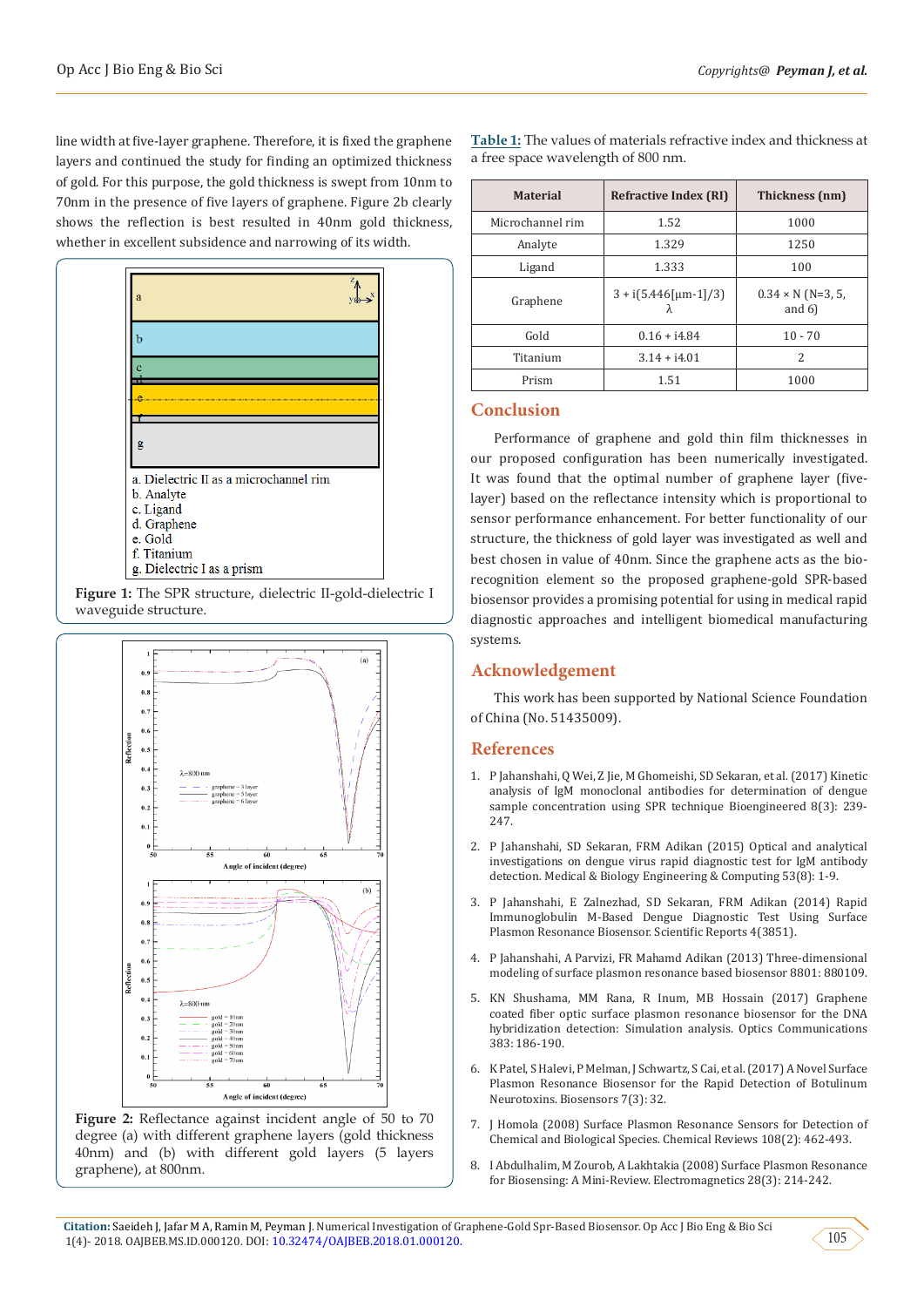line width at five-layer graphene. Therefore, it is fixed the graphene layers and continued the study for finding an optimized thickness of gold. For this purpose, the gold thickness is swept from 10nm to 70nm in the presence of five layers of graphene. Figure 2b clearly shows the reflection is best resulted in 40nm gold thickness, whether in excellent subsidence and narrowing of its width.





**Figure 2:** Reflectance against incident angle of 50 to 70 degree (a) with different graphene layers (gold thickness 40nm) and (b) with different gold layers (5 layers graphene), at 800nm.

**Table 1:** The values of materials refractive index and thickness at a free space wavelength of 800 nm.

| <b>Material</b>  | <b>Refractive Index (RI)</b> | Thickness (nm)                        |
|------------------|------------------------------|---------------------------------------|
| Microchannel rim | 1.52                         | 1000                                  |
| Analyte          | 1.329                        | 1250                                  |
| Ligand           | 1.333                        | 100                                   |
| Graphene         | $3 + i(5.446$ [µm-1]/3]<br>λ | $0.34 \times N$ (N=3, 5,<br>and $6$ ) |
| Gold             | $0.16 + i4.84$               | $10 - 70$                             |
| Titanium         | $3.14 + i4.01$               | $\mathcal{L}$                         |
| Prism            | 1.51                         | 1000                                  |

## **Conclusion**

Performance of graphene and gold thin film thicknesses in our proposed configuration has been numerically investigated. It was found that the optimal number of graphene layer (fivelayer) based on the reflectance intensity which is proportional to sensor performance enhancement. For better functionality of our structure, the thickness of gold layer was investigated as well and best chosen in value of 40nm. Since the graphene acts as the biorecognition element so the proposed graphene-gold SPR-based biosensor provides a promising potential for using in medical rapid diagnostic approaches and intelligent biomedical manufacturing systems.

## **Acknowledgement**

This work has been supported by National Science Foundation of China (No. 51435009).

#### **References**

- 1. [P Jahanshahi, Q Wei, Z Jie, M Ghomeishi, SD Sekaran, et al. \(2017\) Kinetic](https://www.ncbi.nlm.nih.gov/pubmed/27533620) [analysis of IgM monoclonal antibodies for determination of dengue](https://www.ncbi.nlm.nih.gov/pubmed/27533620) [sample concentration using SPR technique Bioengineered 8\(3\): 239-](https://www.ncbi.nlm.nih.gov/pubmed/27533620) [247.](https://www.ncbi.nlm.nih.gov/pubmed/27533620)
- 2. [P Jahanshahi, SD Sekaran, FRM Adikan \(2015\) Optical and analytical](https://www.ncbi.nlm.nih.gov/pubmed/25791696) [investigations on dengue virus rapid diagnostic test for IgM antibody](https://www.ncbi.nlm.nih.gov/pubmed/25791696) [detection. Medical & Biology Engineering & Computing 53\(8\): 1-9.](https://www.ncbi.nlm.nih.gov/pubmed/25791696)
- 3. [P Jahanshahi, E Zalnezhad, SD Sekaran, FRM Adikan \(2014\) Rapid](https://www.nature.com/articles/srep03851) [Immunoglobulin M-Based Dengue Diagnostic Test Using Surface](https://www.nature.com/articles/srep03851) [Plasmon Resonance Biosensor. Scientific Reports 4\(3851\).](https://www.nature.com/articles/srep03851)
- 4. [P Jahanshahi, A Parvizi, FR Mahamd Adikan \(2013\) Three-dimensional](https://www.osapublishing.org/abstract.cfm?uri=ecbo-2013-880109) [modeling of surface plasmon resonance based biosensor 8801: 880109.](https://www.osapublishing.org/abstract.cfm?uri=ecbo-2013-880109)
- 5. [KN Shushama, MM Rana, R Inum, MB Hossain \(2017\) Graphene](https://www.sciencedirect.com/science/article/abs/pii/S0030401816307830) [coated fiber optic surface plasmon resonance biosensor for the DNA](https://www.sciencedirect.com/science/article/abs/pii/S0030401816307830) [hybridization detection: Simulation analysis. Optics Communications](https://www.sciencedirect.com/science/article/abs/pii/S0030401816307830) [383: 186-190.](https://www.sciencedirect.com/science/article/abs/pii/S0030401816307830)
- 6. [K Patel, S Halevi, P Melman, J Schwartz, S Cai, et al. \(2017\) A Novel Surface](https://www.ncbi.nlm.nih.gov/pubmed/28783115) [Plasmon Resonance Biosensor for the Rapid Detection of Botulinum](https://www.ncbi.nlm.nih.gov/pubmed/28783115) [Neurotoxins. Biosensors 7\(3\): 32.](https://www.ncbi.nlm.nih.gov/pubmed/28783115)
- 7. [J Homola \(2008\) Surface Plasmon Resonance Sensors for Detection of](https://www.ncbi.nlm.nih.gov/pubmed/18229953) [Chemical and Biological Species. Chemical Reviews 108\(2\): 462-493.](https://www.ncbi.nlm.nih.gov/pubmed/18229953)
- 8. [I Abdulhalim, M Zourob, A Lakhtakia \(2008\) Surface Plasmon Resonance](https://www.researchgate.net/publication/235409831_Surface_Plasmon_Resonance_for_Biosensing_A_Mini-Review) [for Biosensing: A Mini-Review. Electromagnetics 28\(3\): 214-242.](https://www.researchgate.net/publication/235409831_Surface_Plasmon_Resonance_for_Biosensing_A_Mini-Review)

105